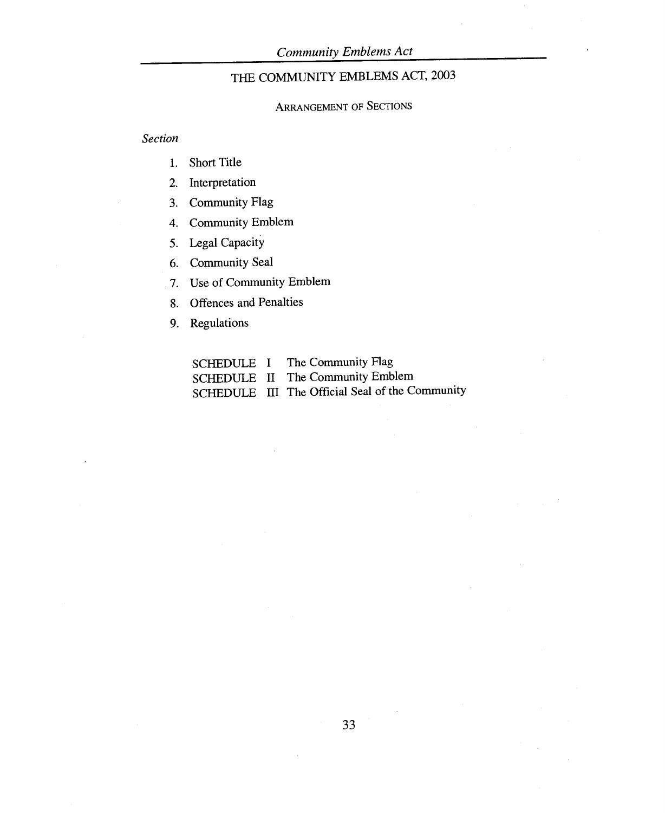# THE COMMUNITY EMBLEMS ACT, 2003

# ARRANGEMENT OF SECTIONS

## *Section*

- 1. Short Title
- 2. Interpretation
- 3. Community Flag
- 4. Community Emblem
- 5. Legal Capacity
- 6. Community Seal
- 7. Use of Community Emblem
- 8. Offences and Penalties
- 9. Regulations

|  | SCHEDULE I The Community Flag                   |
|--|-------------------------------------------------|
|  | SCHEDULE II The Community Emblem                |
|  | SCHEDULE III The Official Seal of the Community |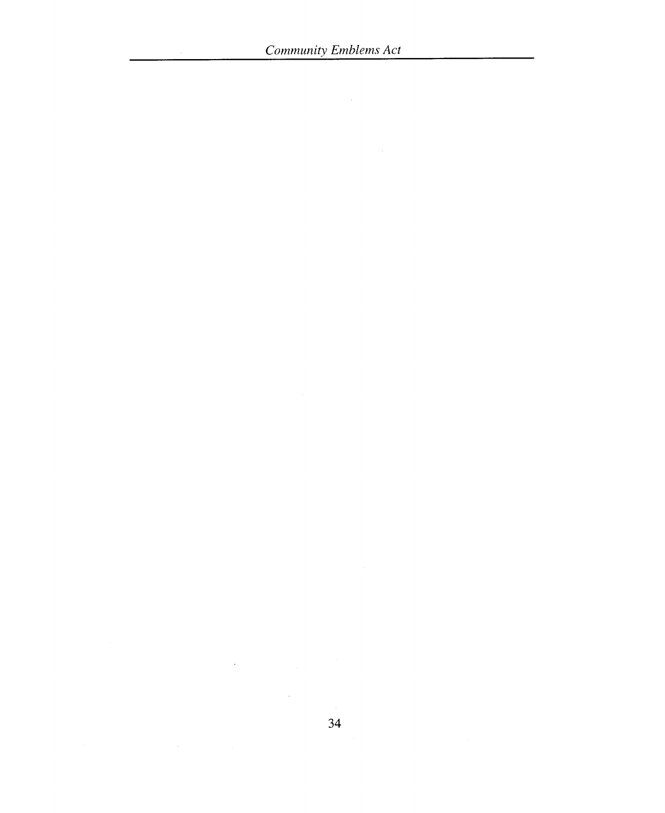t,

 $\mathcal{A}^{\mathcal{A}}$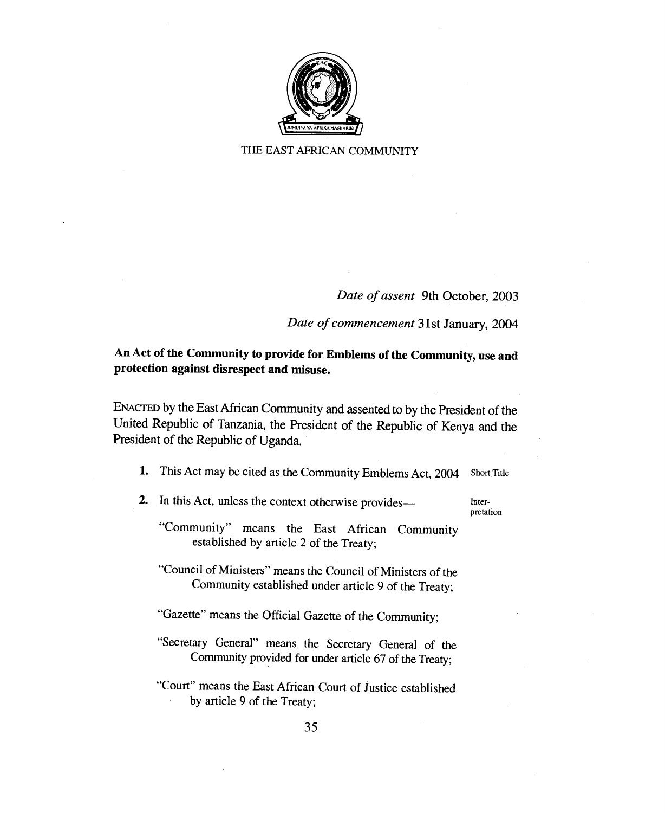

#### THE EAST AFRICAN COMMUNITY

*Date of assent* 9th October, 2003

*Date of commencement* 31st January, 2004

# **An Act of the Community to provide for Emblems of the Community, use and protection against disrespect and misuse.**

ENACTED by the East African Community and assented to by the President of the United Republic of Tanzania, the President of the Republic of Kenya and the President of the Republic of Uganda.

1. This Act may be cited as the Community Emblems Act, 2004 Short Title

2. In this Act, unless the context otherwise provides— Inter-

pretation

"Community" means the East African Community established by article 2 of the Treaty;

"Council of Ministers" means the Council of Ministers of the Community established under article 9 of the Treaty;

"Gazette" means the Official Gazette of the Community;

"Secretary General" means the Secretary General of the Community provided for under article 67 of the Treaty;

"Court" means the East African Court of Justice established by article 9 of the Treaty;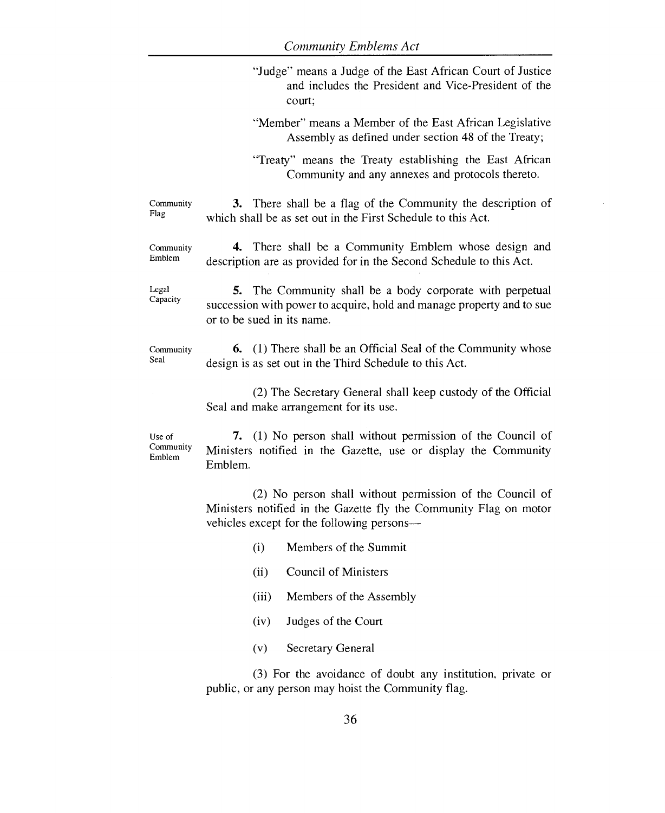|                               | "Judge" means a Judge of the East African Court of Justice<br>and includes the President and Vice-President of the<br>court;                                                |  |  |  |  |
|-------------------------------|-----------------------------------------------------------------------------------------------------------------------------------------------------------------------------|--|--|--|--|
|                               | "Member" means a Member of the East African Legislative<br>Assembly as defined under section 48 of the Treaty;                                                              |  |  |  |  |
|                               | "Treaty" means the Treaty establishing the East African<br>Community and any annexes and protocols thereto.                                                                 |  |  |  |  |
| Community<br>Flag             | 3. There shall be a flag of the Community the description of<br>which shall be as set out in the First Schedule to this Act.                                                |  |  |  |  |
| Community<br>Emblem           | 4. There shall be a Community Emblem whose design and<br>description are as provided for in the Second Schedule to this Act.                                                |  |  |  |  |
| Legal<br>Capacity             | The Community shall be a body corporate with perpetual<br>5.<br>succession with power to acquire, hold and manage property and to sue<br>or to be sued in its name.         |  |  |  |  |
| Community<br>Seal             | 6. (1) There shall be an Official Seal of the Community whose<br>design is as set out in the Third Schedule to this Act.                                                    |  |  |  |  |
|                               | (2) The Secretary General shall keep custody of the Official<br>Seal and make arrangement for its use.                                                                      |  |  |  |  |
| Use of<br>Community<br>Emblem | (1) No person shall without permission of the Council of<br>7.<br>Ministers notified in the Gazette, use or display the Community<br>Emblem.                                |  |  |  |  |
|                               | (2) No person shall without permission of the Council of<br>Ministers notified in the Gazette fly the Community Flag on motor<br>vehicles except for the following persons— |  |  |  |  |
|                               | Members of the Summit<br>(i)                                                                                                                                                |  |  |  |  |
|                               | <b>Council of Ministers</b><br>(ii)                                                                                                                                         |  |  |  |  |
|                               | (iii)<br>Members of the Assembly                                                                                                                                            |  |  |  |  |
|                               | Judges of the Court<br>(iv)                                                                                                                                                 |  |  |  |  |
|                               | Secretary General<br>(v)                                                                                                                                                    |  |  |  |  |
|                               | (3) For the avoidance of doubt any institution, private or<br>public, or any person may hoist the Community flag.                                                           |  |  |  |  |
|                               | 36                                                                                                                                                                          |  |  |  |  |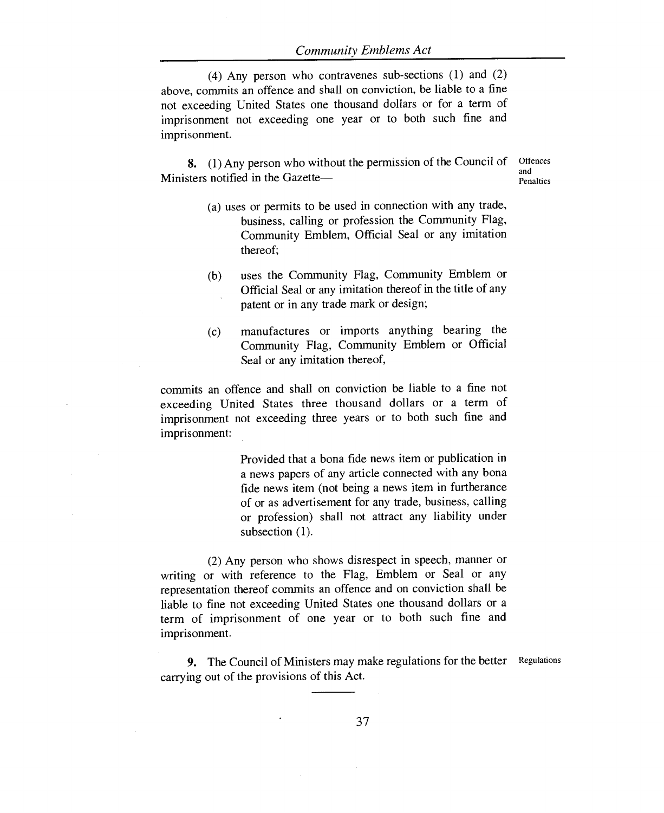(4) Any person who contravenes sub-sections (1) and (2) above, commits an offence and shall on conviction, be liable to a fine not exceeding United States one thousand dollars or for a term of imprisonment not exceeding one year or to both such fine and imprisonment.

**8.** (1) Any person who without the permission of the Council of Ministers notified in the Gazette— **Offences** and

Penalties

- (a) uses or permits to be used in connection with any trade, business, calling or profession the Community Flag, Community Emblem, Official Seal or any imitation thereof;
- (b) uses the Community Flag, Community Emblem or Official Seal or any imitation thereof in the title of any patent or in any trade mark or design;
- (c) manufactures or imports anything bearing the Community Flag, Community Emblem or Official Seal or any imitation thereof,

commits an offence and shall on conviction be liable to a fine not exceeding United States three thousand dollars or a term of imprisonment not exceeding three years or to both such fine and imprisonment:

> Provided that a bona fide news item or publication in a news papers of any article connected with any bona fide news item (not being a news item in furtherance of or as advertisement for any trade, business, calling or profession) shall not attract any liability under subsection  $(1)$ .

(2) Any person who shows disrespect in speech, manner or writing or with reference to the Flag, Emblem or Seal or any representation thereof commits an offence and on conviction shall be liable to fine not exceeding United States one thousand dollars or a term of imprisonment of one year or to both such fine and imprisonment.

**9.** The Council of Ministers may make regulations for the better Regulations carrying out of the provisions of this Act.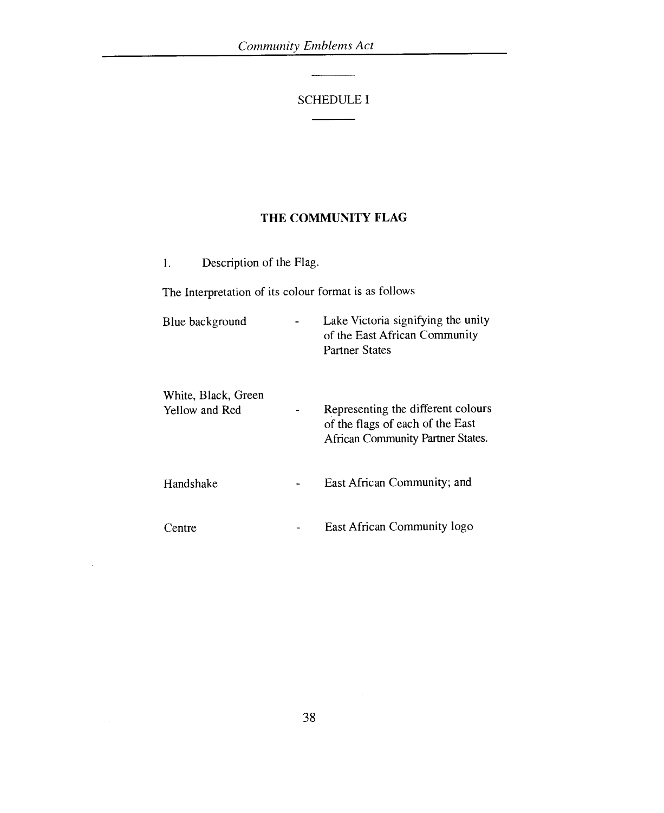## SCHEDULE I  $\overline{\phantom{a}}$

# THE COMMUNITY FLAG

1. Description of the Flag.

 $\bar{a}$ 

The Interpretation of its colour format is as follows

| Blue background                       | Lake Victoria signifying the unity<br>of the East African Community<br><b>Partner States</b>                       |
|---------------------------------------|--------------------------------------------------------------------------------------------------------------------|
| White, Black, Green<br>Yellow and Red | Representing the different colours<br>of the flags of each of the East<br><b>African Community Partner States.</b> |
| Handshake                             | East African Community; and                                                                                        |
| Centre                                | East African Community logo                                                                                        |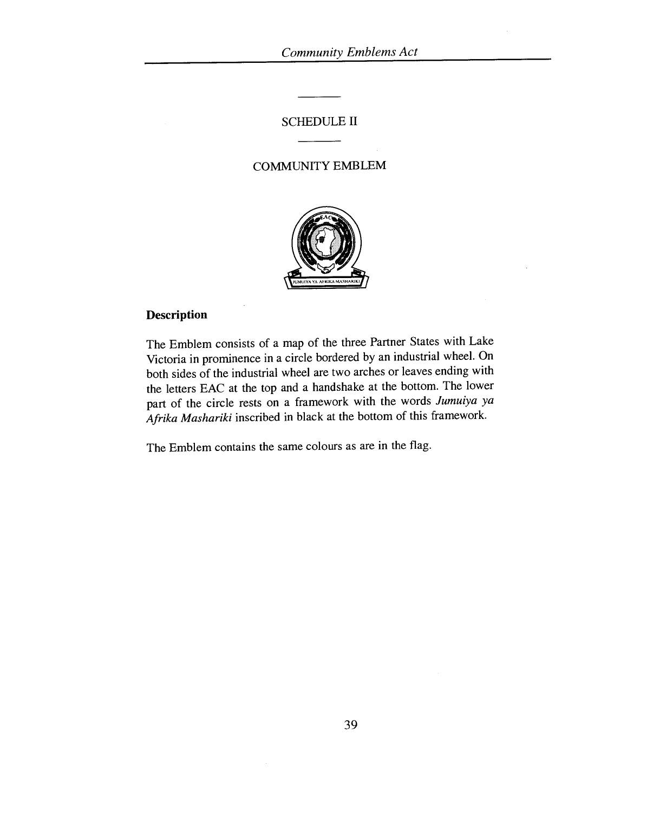## SCHEDULE II

#### COMMUNITY EMBLEM



#### **Description**

The Emblem consists of a map of the three Partner States with Lake Victoria in prominence in a circle bordered by an industrial wheel. On both sides of the industrial wheel are two arches or leaves ending with the letters EAC at the top and a handshake at the bottom. The lower part of the circle rests on a framework with the words *Jumuiya ya Afrika Mashariki* inscribed in black at the bottom of this framework.

The Emblem contains the same colours as are in the flag.